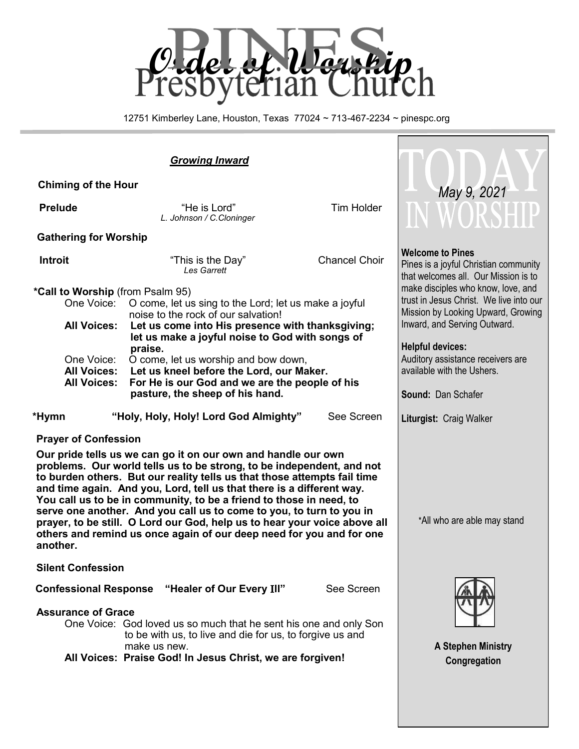

12751 Kimberley Lane, Houston, Texas 77024 ~ 713-467-2234 ~ pinespc.org

### *Growing Inward*

 **Chiming of the Hour**

**Gathering for Worship**

 **\*Call to Worship** (from Psalm 95)

**praise.**<br>One Voice: O come

**Prelude** Tim Holder **Constanting Constanting Constanting Tim Holder** *L. Johnson / C.Cloninger*

**Introit Chancel Choir This is the Day"** Chancel Choir *Les Garrett*

One Voice: O come, let us sing to the Lord; let us make a joyful noise to the rock of our salvation! **All Voices: Let us come into His presence with thanksgiving;** 

**All Voices: For He is our God and we are the people of his pasture, the sheep of his hand.** 

 **\*Hymn "Holy, Holy, Holy! Lord God Almighty"** See Screen

One Voice: O come, let us worship and bow down,<br>**All Voices: Let us kneel before the Lord, our Ma** 

 **let us make a joyful noise to God with songs of** 

Let us kneel before the Lord, our Maker.



#### **Welcome to Pines**

Pines is a joyful Christian community that welcomes all. Our Mission is to make disciples who know, love, and trust in Jesus Christ. We live into our Mission by Looking Upward, Growing Inward, and Serving Outward.

#### **Helpful devices:**

Auditory assistance receivers are available with the Ushers.

**Sound:** Dan Schafer

**Liturgist:** Craig Walker

#### **Prayer of Confession**

 **Our pride tells us we can go it on our own and handle our own problems. Our world tells us to be strong, to be independent, and not to burden others. But our reality tells us that those attempts fail time and time again. And you, Lord, tell us that there is a different way. You call us to be in community, to be a friend to those in need, to serve one another. And you call us to come to you, to turn to you in prayer, to be still. O Lord our God, help us to hear your voice above all others and remind us once again of our deep need for you and for one another.**

#### **Silent Confession**

 **Confessional Response "Healer of Our Every** I**ll"** See Screen

 **Assurance of Grace**

One Voice: God loved us so much that he sent his one and only Son to be with us, to live and die for us, to forgive us and make us new.

**All Voices: Praise God! In Jesus Christ, we are forgiven!**



\*All who are able may stand

**A Stephen Ministry Congregation**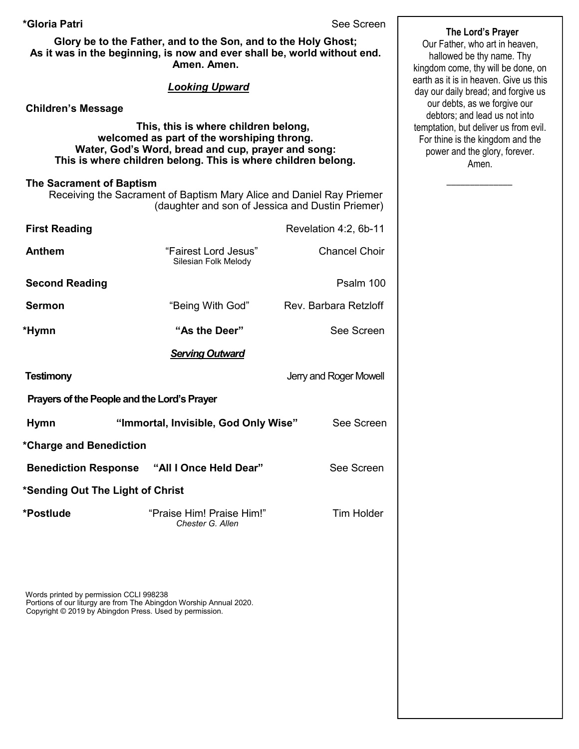**\*Gloria Patri** See Screen

**Glory be to the Father, and to the Son, and to the Holy Ghost; As it was in the beginning, is now and ever shall be, world without end. Amen. Amen.** 

#### *Looking Upward*

## **Children's Message**

 **This, this is where children belong, welcomed as part of the worshiping throng. Water, God's Word, bread and cup, prayer and song: This is where children belong. This is where children belong.**

#### **The Sacrament of Baptism**

 Receiving the Sacrament of Baptism Mary Alice and Daniel Ray Priemer (daughter and son of Jessica and Dustin Priemer)

| <b>First Reading</b>                        |                                                    | Revelation 4:2, 6b-11  |
|---------------------------------------------|----------------------------------------------------|------------------------|
| <b>Anthem</b>                               | "Fairest Lord Jesus"<br>Silesian Folk Melody       | <b>Chancel Choir</b>   |
| <b>Second Reading</b>                       |                                                    | Psalm 100              |
| <b>Sermon</b>                               | "Being With God"                                   | Rev. Barbara Retzloff  |
| *Hymn                                       | "As the Deer"                                      | See Screen             |
|                                             | <b>Serving Outward</b>                             |                        |
| <b>Testimony</b>                            |                                                    | Jerry and Roger Mowell |
| Prayers of the People and the Lord's Prayer |                                                    |                        |
| <b>Hymn</b>                                 | "Immortal, Invisible, God Only Wise"               | See Screen             |
| *Charge and Benediction                     |                                                    |                        |
|                                             | <b>Benediction Response "All I Once Held Dear"</b> | See Screen             |
| *Sending Out The Light of Christ            |                                                    |                        |
| *Postlude                                   | "Praise Him! Praise Him!"<br>Chester G. Allen      | <b>Tim Holder</b>      |
|                                             |                                                    |                        |
|                                             |                                                    |                        |
|                                             |                                                    |                        |

Words printed by permission CCLI 998238 Portions of our liturgy are from The Abingdon Worship Annual 2020. Copyright © 2019 by Abingdon Press. Used by permission.

 **The Lord's Prayer** Our Father, who art in heaven, hallowed be thy name. Thy kingdom come, thy will be done, on earth as it is in heaven. Give us this day our daily bread; and forgive us our debts, as we forgive our debtors; and lead us not into temptation, but deliver us from evil. For thine is the kingdom and the power and the glory, forever. Amen.

 $\overline{\phantom{a}}$  ,  $\overline{\phantom{a}}$  ,  $\overline{\phantom{a}}$  ,  $\overline{\phantom{a}}$  ,  $\overline{\phantom{a}}$  ,  $\overline{\phantom{a}}$  ,  $\overline{\phantom{a}}$  ,  $\overline{\phantom{a}}$  ,  $\overline{\phantom{a}}$  ,  $\overline{\phantom{a}}$  ,  $\overline{\phantom{a}}$  ,  $\overline{\phantom{a}}$  ,  $\overline{\phantom{a}}$  ,  $\overline{\phantom{a}}$  ,  $\overline{\phantom{a}}$  ,  $\overline{\phantom{a}}$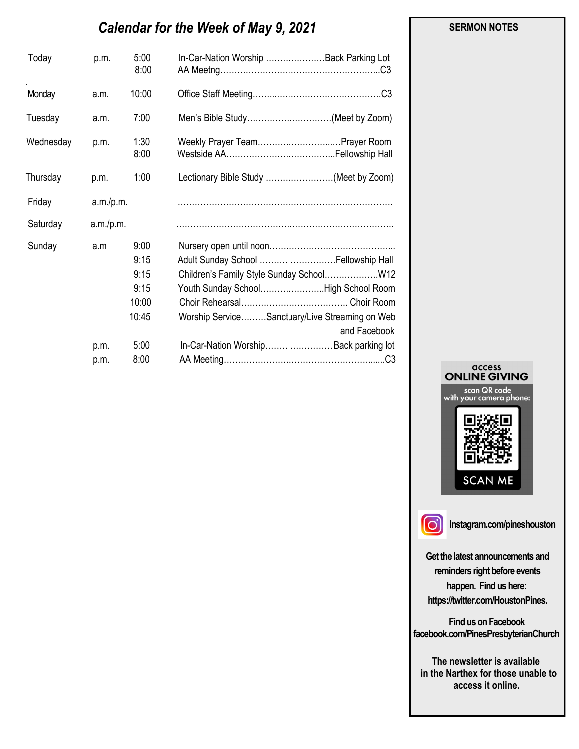# *Calendar for the Week of May 9, 2021*

| Today     | p.m.      | 5:00<br>8:00 | In-Car-Nation Worship  Back Parking Lot                        |
|-----------|-----------|--------------|----------------------------------------------------------------|
| Monday    | a.m.      | 10:00        |                                                                |
| Tuesday   | a.m.      | 7:00         | Men's Bible Study(Meet by Zoom)                                |
| Wednesday | p.m.      | 1:30<br>8:00 | Weekly Prayer TeamPrayer Room                                  |
| Thursday  | p.m.      | 1:00         | Lectionary Bible Study (Meet by Zoom)                          |
| Friday    | a.m./p.m. |              |                                                                |
| Saturday  | a.m./p.m. |              |                                                                |
| Sunday    | a.m       | 9:00         |                                                                |
|           |           | 9:15         | Adult Sunday School  Fellowship Hall                           |
|           |           | 9:15         |                                                                |
|           |           | 9:15         | Youth Sunday SchoolHigh School Room                            |
|           | 10:00     |              |                                                                |
|           |           | 10:45        | Worship ServiceSanctuary/Live Streaming on Web<br>and Facebook |
|           | p.m.      | 5:00         | In-Car-Nation Worship Back parking lot                         |
|           | p.m.      | 8:00         |                                                                |





**Instagram.com/pineshouston**

**Get the latest announcements and reminders right before events happen. Find us here: https://twitter.com/HoustonPines.** 

 **Find us on Facebook facebook.com/PinesPresbyterianChurch** 

 **The newsletter is available in the Narthex for those unable to access it online.** 

#### **SERMON NOTES**